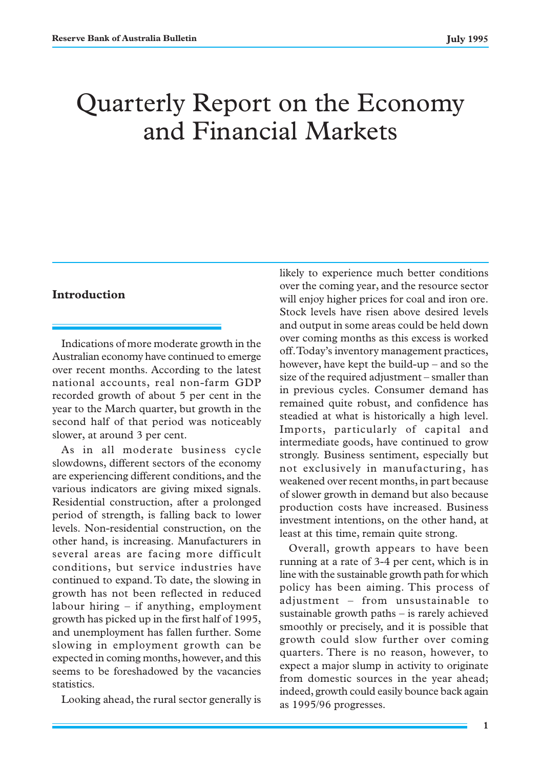# Quarterly Report on the Economy and Financial Markets

# **Introduction**

Indications of more moderate growth in the Australian economy have continued to emerge over recent months. According to the latest national accounts, real non-farm GDP recorded growth of about 5 per cent in the year to the March quarter, but growth in the second half of that period was noticeably slower, at around 3 per cent.

As in all moderate business cycle slowdowns, different sectors of the economy are experiencing different conditions, and the various indicators are giving mixed signals. Residential construction, after a prolonged period of strength, is falling back to lower levels. Non-residential construction, on the other hand, is increasing. Manufacturers in several areas are facing more difficult conditions, but service industries have continued to expand. To date, the slowing in growth has not been reflected in reduced labour hiring – if anything, employment growth has picked up in the first half of 1995, and unemployment has fallen further. Some slowing in employment growth can be expected in coming months, however, and this seems to be foreshadowed by the vacancies statistics.

Looking ahead, the rural sector generally is

likely to experience much better conditions over the coming year, and the resource sector will enjoy higher prices for coal and iron ore. Stock levels have risen above desired levels and output in some areas could be held down over coming months as this excess is worked off. Today's inventory management practices, however, have kept the build-up – and so the size of the required adjustment – smaller than in previous cycles. Consumer demand has remained quite robust, and confidence has steadied at what is historically a high level. Imports, particularly of capital and intermediate goods, have continued to grow strongly. Business sentiment, especially but not exclusively in manufacturing, has weakened over recent months, in part because of slower growth in demand but also because production costs have increased. Business investment intentions, on the other hand, at least at this time, remain quite strong.

Overall, growth appears to have been running at a rate of 3-4 per cent, which is in line with the sustainable growth path for which policy has been aiming. This process of adjustment – from unsustainable to sustainable growth paths – is rarely achieved smoothly or precisely, and it is possible that growth could slow further over coming quarters. There is no reason, however, to expect a major slump in activity to originate from domestic sources in the year ahead; indeed, growth could easily bounce back again as 1995/96 progresses.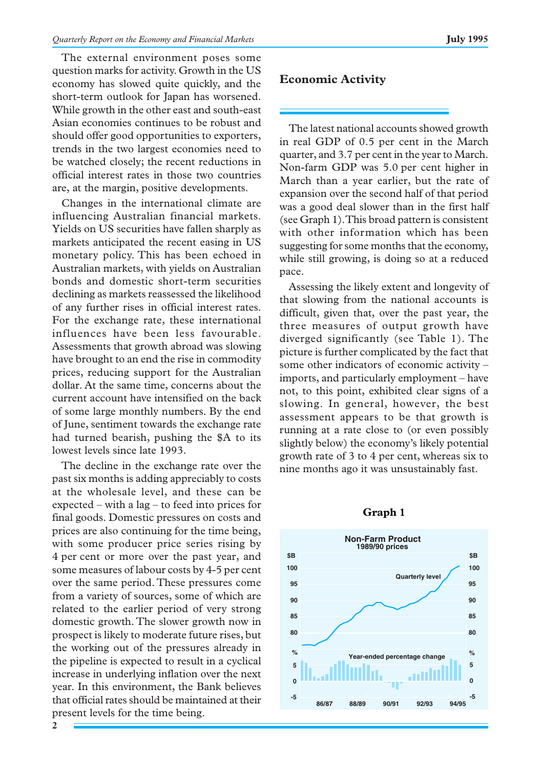The external environment poses some question marks for activity. Growth in the US economy has slowed quite quickly, and the short-term outlook for Japan has worsened. While growth in the other east and south-east Asian economies continues to be robust and should offer good opportunities to exporters, trends in the two largest economies need to be watched closely; the recent reductions in official interest rates in those two countries are, at the margin, positive developments.

Changes in the international climate are influencing Australian financial markets. Yields on US securities have fallen sharply as markets anticipated the recent easing in US monetary policy. This has been echoed in Australian markets, with yields on Australian bonds and domestic short-term securities declining as markets reassessed the likelihood of any further rises in official interest rates. For the exchange rate, these international influences have been less favourable. Assessments that growth abroad was slowing have brought to an end the rise in commodity prices, reducing support for the Australian dollar. At the same time, concerns about the current account have intensified on the back of some large monthly numbers. By the end of June, sentiment towards the exchange rate had turned bearish, pushing the \$A to its lowest levels since late 1993.

The decline in the exchange rate over the past six months is adding appreciably to costs at the wholesale level, and these can be expected – with a lag – to feed into prices for final goods. Domestic pressures on costs and prices are also continuing for the time being, with some producer price series rising by 4 per cent or more over the past year, and some measures of labour costs by 4-5 per cent over the same period. These pressures come from a variety of sources, some of which are related to the earlier period of very strong domestic growth. The slower growth now in prospect is likely to moderate future rises, but the working out of the pressures already in the pipeline is expected to result in a cyclical increase in underlying inflation over the next year. In this environment, the Bank believes that official rates should be maintained at their present levels for the time being.

# **Economic Activity**

The latest national accounts showed growth in real GDP of 0.5 per cent in the March quarter, and 3.7 per cent in the year to March. Non-farm GDP was 5.0 per cent higher in March than a year earlier, but the rate of expansion over the second half of that period was a good deal slower than in the first half (see Graph 1). This broad pattern is consistent with other information which has been suggesting for some months that the economy, while still growing, is doing so at a reduced pace.

Assessing the likely extent and longevity of that slowing from the national accounts is difficult, given that, over the past year, the three measures of output growth have diverged significantly (see Table 1). The picture is further complicated by the fact that some other indicators of economic activity – imports, and particularly employment – have not, to this point, exhibited clear signs of a slowing. In general, however, the best assessment appears to be that growth is running at a rate close to (or even possibly slightly below) the economy's likely potential growth rate of 3 to 4 per cent, whereas six to nine months ago it was unsustainably fast.



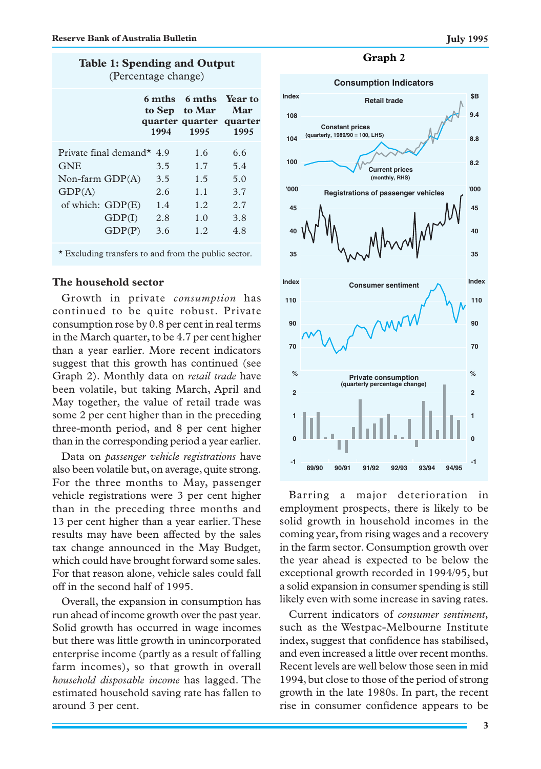|  |                     |  | <b>Table 1: Spending and Output</b> |
|--|---------------------|--|-------------------------------------|
|  | (Percentage change) |  |                                     |

|                                                                                                 | 1994                     | 6 mths 6 mths Year to<br>to Sep to Mar<br>quarter quarter quarter<br>1995 | Mar<br>1995                     |
|-------------------------------------------------------------------------------------------------|--------------------------|---------------------------------------------------------------------------|---------------------------------|
| Private final demand $*$ 4.9<br><b>GNE</b><br>Non-farm $GDP(A)$<br>GDP(A)<br>of which: $GDP(E)$ | 3.5<br>3.5<br>2.6<br>1.4 | 1.6<br>1.7<br>1.5<br>1.1<br>1.2                                           | 6.6<br>5.4<br>5.0<br>3.7<br>2.7 |
| GDP(I)<br>GDP(P)                                                                                | 2.8<br>3.6               | 1.0<br>1.2.                                                               | 3.8<br>4.8                      |

\* Excluding transfers to and from the public sector.

### **The household sector**

Growth in private *consumption* has continued to be quite robust. Private consumption rose by 0.8 per cent in real terms in the March quarter, to be 4.7 per cent higher than a year earlier. More recent indicators suggest that this growth has continued (see Graph 2). Monthly data on *retail trade* have been volatile, but taking March, April and May together, the value of retail trade was some 2 per cent higher than in the preceding three-month period, and 8 per cent higher than in the corresponding period a year earlier.

Data on *passenger vehicle registrations* have also been volatile but, on average, quite strong. For the three months to May, passenger vehicle registrations were 3 per cent higher than in the preceding three months and 13 per cent higher than a year earlier. These results may have been affected by the sales tax change announced in the May Budget, which could have brought forward some sales. For that reason alone, vehicle sales could fall off in the second half of 1995.

Overall, the expansion in consumption has run ahead of income growth over the past year. Solid growth has occurred in wage incomes but there was little growth in unincorporated enterprise income (partly as a result of falling farm incomes), so that growth in overall *household disposable income* has lagged. The estimated household saving rate has fallen to around 3 per cent.

### **Graph 2**



Barring a major deterioration in employment prospects, there is likely to be solid growth in household incomes in the coming year, from rising wages and a recovery in the farm sector. Consumption growth over the year ahead is expected to be below the exceptional growth recorded in 1994/95, but a solid expansion in consumer spending is still likely even with some increase in saving rates.

Current indicators of *consumer sentiment,* such as the Westpac-Melbourne Institute index, suggest that confidence has stabilised, and even increased a little over recent months. Recent levels are well below those seen in mid 1994, but close to those of the period of strong growth in the late 1980s. In part, the recent rise in consumer confidence appears to be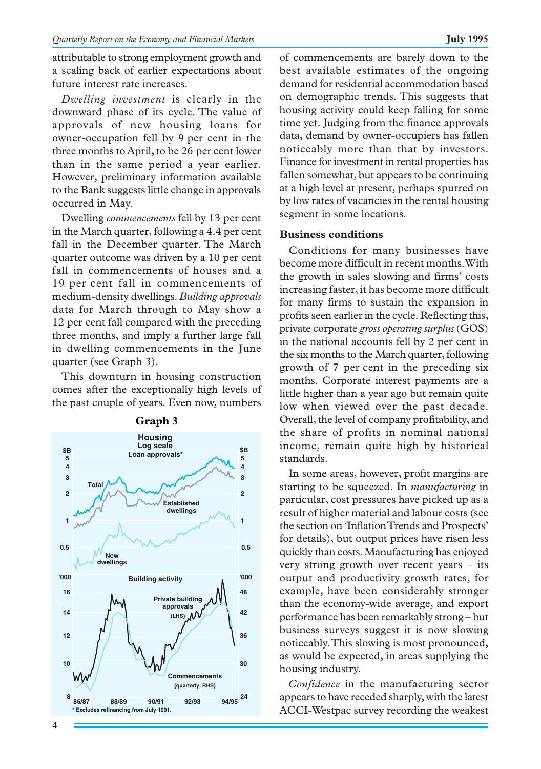attributable to strong employment growth and a scaling back of earlier expectations about future interest rate increases.

*Dwelling investment* is clearly in the downward phase of its cycle. The value of approvals of new housing loans for owner-occupation fell by 9 per cent in the three months to April, to be 26 per cent lower than in the same period a year earlier. However, preliminary information available to the Bank suggests little change in approvals occurred in May.

Dwelling *commencements* fell by 13 per cent in the March quarter, following a 4.4 per cent fall in the December quarter. The March quarter outcome was driven by a 10 per cent fall in commencements of houses and a 19 per cent fall in commencements of medium-density dwellings. *Building approvals* data for March through to May show a 12 per cent fall compared with the preceding three months, and imply a further large fall in dwelling commencements in the June quarter (see Graph 3).

This downturn in housing construction comes after the exceptionally high levels of the past couple of years. Even now, numbers



**Graph 3**

of commencements are barely down to the best available estimates of the ongoing demand for residential accommodation based on demographic trends. This suggests that housing activity could keep falling for some time yet. Judging from the finance approvals data, demand by owner-occupiers has fallen noticeably more than that by investors. Finance for investment in rental properties has fallen somewhat, but appears to be continuing at a high level at present, perhaps spurred on by low rates of vacancies in the rental housing segment in some locations.

# **Business conditions**

Conditions for many businesses have become more difficult in recent months. With the growth in sales slowing and firms' costs increasing faster, it has become more difficult for many firms to sustain the expansion in profits seen earlier in the cycle. Reflecting this, private corporate *gross operating surplus* (GOS) in the national accounts fell by 2 per cent in the six months to the March quarter, following growth of 7 per cent in the preceding six months. Corporate interest payments are a little higher than a year ago but remain quite low when viewed over the past decade. Overall, the level of company profitability, and the share of profits in nominal national income, remain quite high by historical standards.

In some areas, however, profit margins are starting to be squeezed. In *manufacturing* in particular, cost pressures have picked up as a result of higher material and labour costs (see the section on 'Inflation Trends and Prospects' for details), but output prices have risen less quickly than costs. Manufacturing has enjoyed very strong growth over recent years – its output and productivity growth rates, for example, have been considerably stronger than the economy-wide average, and export performance has been remarkably strong – but business surveys suggest it is now slowing noticeably. This slowing is most pronounced, as would be expected, in areas supplying the housing industry.

*Confidence* in the manufacturing sector appears to have receded sharply, with the latest ACCI-Westpac survey recording the weakest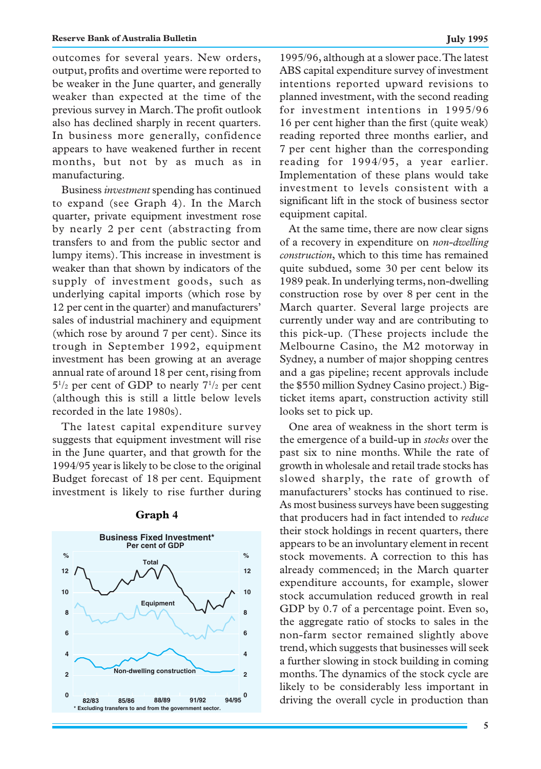outcomes for several years. New orders, output, profits and overtime were reported to be weaker in the June quarter, and generally weaker than expected at the time of the previous survey in March. The profit outlook also has declined sharply in recent quarters. In business more generally, confidence appears to have weakened further in recent months, but not by as much as in manufacturing.

Business *investment* spending has continued to expand (see Graph 4). In the March quarter, private equipment investment rose by nearly 2 per cent (abstracting from transfers to and from the public sector and lumpy items). This increase in investment is weaker than that shown by indicators of the supply of investment goods, such as underlying capital imports (which rose by 12 per cent in the quarter) and manufacturers' sales of industrial machinery and equipment (which rose by around 7 per cent). Since its trough in September 1992, equipment investment has been growing at an average annual rate of around 18 per cent, rising from  $5^{1/2}$  per cent of GDP to nearly  $7^{1/2}$  per cent (although this is still a little below levels recorded in the late 1980s).

The latest capital expenditure survey suggests that equipment investment will rise in the June quarter, and that growth for the 1994/95 year is likely to be close to the original Budget forecast of 18 per cent. Equipment investment is likely to rise further during



### **Graph 4**

1995/96, although at a slower pace. The latest ABS capital expenditure survey of investment intentions reported upward revisions to planned investment, with the second reading for investment intentions in 1995/96 16 per cent higher than the first (quite weak) reading reported three months earlier, and 7 per cent higher than the corresponding reading for 1994/95, a year earlier. Implementation of these plans would take investment to levels consistent with a significant lift in the stock of business sector equipment capital.

At the same time, there are now clear signs of a recovery in expenditure on *non-dwelling construction*, which to this time has remained quite subdued, some 30 per cent below its 1989 peak. In underlying terms, non-dwelling construction rose by over 8 per cent in the March quarter. Several large projects are currently under way and are contributing to this pick-up. (These projects include the Melbourne Casino, the M2 motorway in Sydney, a number of major shopping centres and a gas pipeline; recent approvals include the \$550 million Sydney Casino project.) Bigticket items apart, construction activity still looks set to pick up.

One area of weakness in the short term is the emergence of a build-up in *stocks* over the past six to nine months. While the rate of growth in wholesale and retail trade stocks has slowed sharply, the rate of growth of manufacturers' stocks has continued to rise. As most business surveys have been suggesting that producers had in fact intended to *reduce* their stock holdings in recent quarters, there appears to be an involuntary element in recent stock movements. A correction to this has already commenced; in the March quarter expenditure accounts, for example, slower stock accumulation reduced growth in real GDP by 0.7 of a percentage point. Even so, the aggregate ratio of stocks to sales in the non-farm sector remained slightly above trend, which suggests that businesses will seek a further slowing in stock building in coming months. The dynamics of the stock cycle are likely to be considerably less important in 0 82/83 85/86 88/89 91/92 94/95<sup>0</sup> driving the overall cycle in production than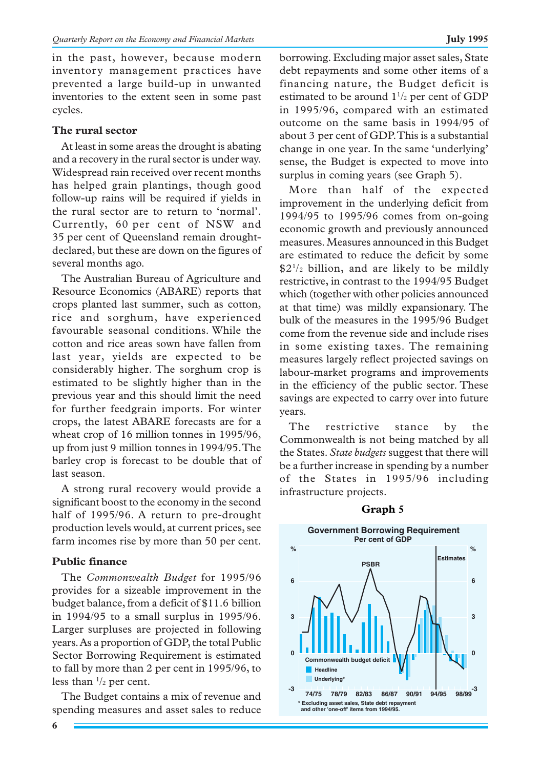in the past, however, because modern inventory management practices have prevented a large build-up in unwanted inventories to the extent seen in some past cycles.

# **The rural sector**

At least in some areas the drought is abating and a recovery in the rural sector is under way. Widespread rain received over recent months has helped grain plantings, though good follow-up rains will be required if yields in the rural sector are to return to 'normal'. Currently, 60 per cent of NSW and 35 per cent of Queensland remain droughtdeclared, but these are down on the figures of several months ago.

The Australian Bureau of Agriculture and Resource Economics (ABARE) reports that crops planted last summer, such as cotton, rice and sorghum, have experienced favourable seasonal conditions. While the cotton and rice areas sown have fallen from last year, yields are expected to be considerably higher. The sorghum crop is estimated to be slightly higher than in the previous year and this should limit the need for further feedgrain imports. For winter crops, the latest ABARE forecasts are for a wheat crop of 16 million tonnes in 1995/96, up from just 9 million tonnes in 1994/95. The barley crop is forecast to be double that of last season.

A strong rural recovery would provide a significant boost to the economy in the second half of 1995/96. A return to pre-drought production levels would, at current prices, see farm incomes rise by more than 50 per cent.

# **Public finance**

The *Commonwealth Budget* for 1995/96 provides for a sizeable improvement in the budget balance, from a deficit of \$11.6 billion in 1994/95 to a small surplus in 1995/96. Larger surpluses are projected in following years. As a proportion of GDP, the total Public Sector Borrowing Requirement is estimated to fall by more than 2 per cent in 1995/96, to less than  $\frac{1}{2}$  per cent.

The Budget contains a mix of revenue and spending measures and asset sales to reduce

borrowing. Excluding major asset sales, State debt repayments and some other items of a financing nature, the Budget deficit is estimated to be around  $1\frac{1}{2}$  per cent of GDP in 1995/96, compared with an estimated outcome on the same basis in 1994/95 of about 3 per cent of GDP. This is a substantial change in one year. In the same 'underlying' sense, the Budget is expected to move into surplus in coming years (see Graph 5).

More than half of the expected improvement in the underlying deficit from 1994/95 to 1995/96 comes from on-going economic growth and previously announced measures. Measures announced in this Budget are estimated to reduce the deficit by some  $$2<sup>1</sup>/<sub>2</sub>$  billion, and are likely to be mildly restrictive, in contrast to the 1994/95 Budget which (together with other policies announced at that time) was mildly expansionary. The bulk of the measures in the 1995/96 Budget come from the revenue side and include rises in some existing taxes. The remaining measures largely reflect projected savings on labour-market programs and improvements in the efficiency of the public sector. These savings are expected to carry over into future years.

The restrictive stance by the Commonwealth is not being matched by all the States. *State budgets* suggest that there will be a further increase in spending by a number of the States in 1995/96 including infrastructure projects.



# **Graph 5**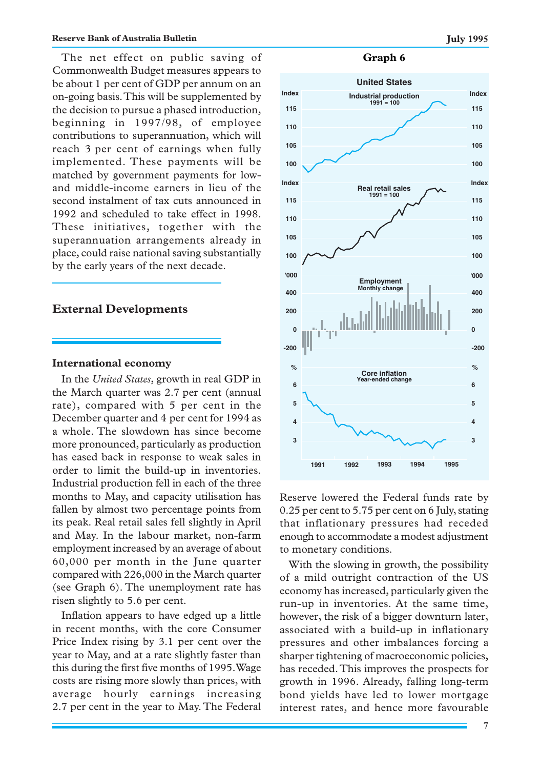The net effect on public saving of Commonwealth Budget measures appears to be about 1 per cent of GDP per annum on an on-going basis. This will be supplemented by the decision to pursue a phased introduction, beginning in 1997/98, of employee contributions to superannuation, which will reach 3 per cent of earnings when fully implemented. These payments will be matched by government payments for lowand middle-income earners in lieu of the second instalment of tax cuts announced in 1992 and scheduled to take effect in 1998. These initiatives, together with the superannuation arrangements already in place, could raise national saving substantially by the early years of the next decade.

### **External Developments**

### **International economy**

In the *United States*, growth in real GDP in the March quarter was 2.7 per cent (annual rate), compared with 5 per cent in the December quarter and 4 per cent for 1994 as a whole. The slowdown has since become more pronounced, particularly as production has eased back in response to weak sales in order to limit the build-up in inventories. Industrial production fell in each of the three months to May, and capacity utilisation has fallen by almost two percentage points from its peak. Real retail sales fell slightly in April and May. In the labour market, non-farm employment increased by an average of about 60,000 per month in the June quarter compared with 226,000 in the March quarter (see Graph 6). The unemployment rate has risen slightly to 5.6 per cent.

Inflation appears to have edged up a little in recent months, with the core Consumer Price Index rising by 3.1 per cent over the year to May, and at a rate slightly faster than this during the first five months of 1995. Wage costs are rising more slowly than prices, with average hourly earnings increasing 2.7 per cent in the year to May. The Federal

### **Graph 6**



Reserve lowered the Federal funds rate by 0.25 per cent to 5.75 per cent on 6 July, stating that inflationary pressures had receded enough to accommodate a modest adjustment to monetary conditions.

With the slowing in growth, the possibility of a mild outright contraction of the US economy has increased, particularly given the run-up in inventories. At the same time, however, the risk of a bigger downturn later, associated with a build-up in inflationary pressures and other imbalances forcing a sharper tightening of macroeconomic policies, has receded. This improves the prospects for growth in 1996. Already, falling long-term bond yields have led to lower mortgage interest rates, and hence more favourable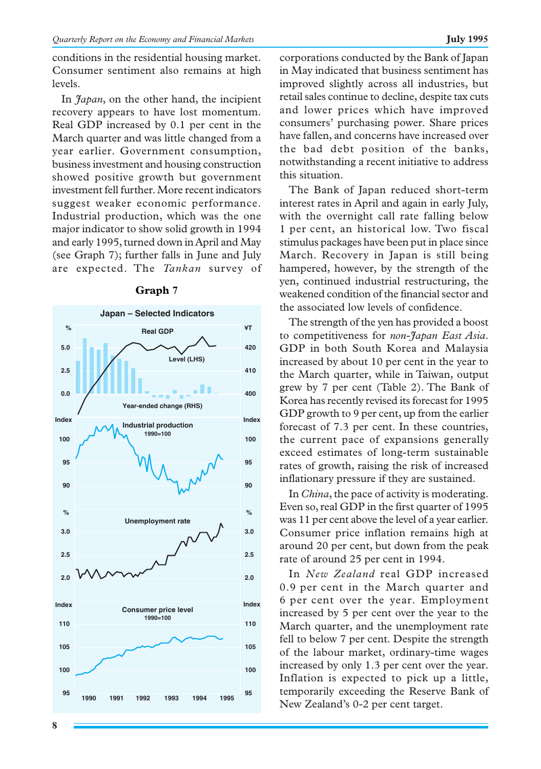conditions in the residential housing market. Consumer sentiment also remains at high levels.

In *Japan*, on the other hand, the incipient recovery appears to have lost momentum. Real GDP increased by 0.1 per cent in the March quarter and was little changed from a year earlier. Government consumption, business investment and housing construction showed positive growth but government investment fell further. More recent indicators suggest weaker economic performance. Industrial production, which was the one major indicator to show solid growth in 1994 and early 1995, turned down in April and May (see Graph 7); further falls in June and July are expected. The *Tankan* survey of



### **Graph 7**

corporations conducted by the Bank of Japan in May indicated that business sentiment has improved slightly across all industries, but retail sales continue to decline, despite tax cuts and lower prices which have improved consumers' purchasing power. Share prices have fallen, and concerns have increased over the bad debt position of the banks, notwithstanding a recent initiative to address this situation.

The Bank of Japan reduced short-term interest rates in April and again in early July, with the overnight call rate falling below 1 per cent, an historical low. Two fiscal stimulus packages have been put in place since March. Recovery in Japan is still being hampered, however, by the strength of the yen, continued industrial restructuring, the weakened condition of the financial sector and the associated low levels of confidence.

The strength of the yen has provided a boost to competitiveness for *non-Japan East Asia*. GDP in both South Korea and Malaysia increased by about 10 per cent in the year to the March quarter, while in Taiwan, output grew by 7 per cent (Table 2). The Bank of Korea has recently revised its forecast for 1995 GDP growth to 9 per cent, up from the earlier forecast of 7.3 per cent. In these countries, the current pace of expansions generally exceed estimates of long-term sustainable rates of growth, raising the risk of increased inflationary pressure if they are sustained.

In *China*, the pace of activity is moderating. Even so, real GDP in the first quarter of 1995 was 11 per cent above the level of a year earlier. Consumer price inflation remains high at around 20 per cent, but down from the peak rate of around 25 per cent in 1994.

In *New Zealand* real GDP increased 0.9 per cent in the March quarter and 6 per cent over the year. Employment increased by 5 per cent over the year to the March quarter, and the unemployment rate fell to below 7 per cent. Despite the strength of the labour market, ordinary-time wages increased by only 1.3 per cent over the year. Inflation is expected to pick up a little, temporarily exceeding the Reserve Bank of New Zealand's 0-2 per cent target.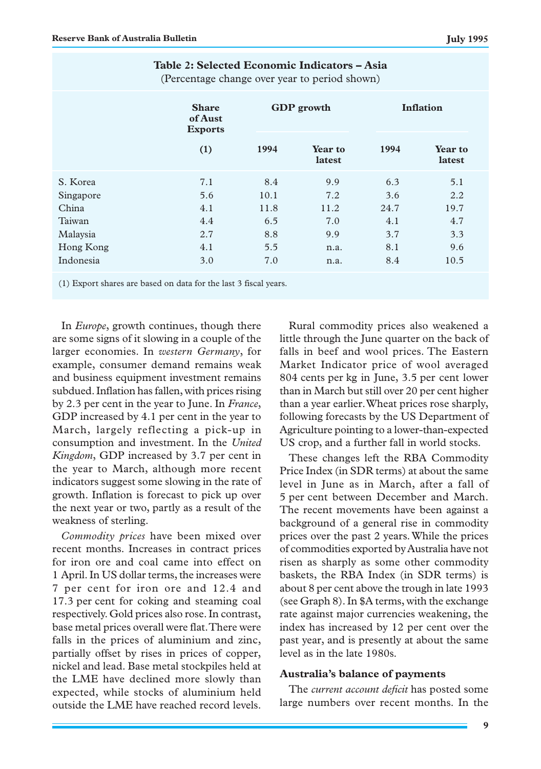|           | (Percentage change over year to period shown) |      |                   |                  |                   |
|-----------|-----------------------------------------------|------|-------------------|------------------|-------------------|
|           | <b>Share</b><br>of Aust<br><b>Exports</b>     |      | <b>GDP</b> growth | <b>Inflation</b> |                   |
|           | (1)                                           | 1994 | Year to<br>latest | 1994             | Year to<br>latest |
| S. Korea  | 7.1                                           | 8.4  | 9.9               | 6.3              | 5.1               |
| Singapore | 5.6                                           | 10.1 | 7.2               | 3.6              | 2.2               |
| China     | 4.1                                           | 11.8 | 11.2              | 24.7             | 19.7              |
| Taiwan    | 4.4                                           | 6.5  | 7.0               | 4.1              | 4.7               |
| Malaysia  | 2.7                                           | 8.8  | 9.9               | 3.7              | 3.3               |
| Hong Kong | 4.1                                           | 5.5  | n.a.              | 8.1              | 9.6               |
| Indonesia | 3.0                                           | 7.0  | n.a.              | 8.4              | 10.5              |

**Table 2: Selected Economic Indicators – Asia**

(Percentage change over year to period shown)

(1) Export shares are based on data for the last 3 fiscal years.

In *Europe*, growth continues, though there are some signs of it slowing in a couple of the larger economies. In *western Germany*, for example, consumer demand remains weak and business equipment investment remains subdued. Inflation has fallen, with prices rising by 2.3 per cent in the year to June. In *France*, GDP increased by 4.1 per cent in the year to March, largely reflecting a pick-up in consumption and investment. In the *United Kingdom*, GDP increased by 3.7 per cent in the year to March, although more recent indicators suggest some slowing in the rate of growth. Inflation is forecast to pick up over the next year or two, partly as a result of the weakness of sterling.

*Commodity prices* have been mixed over recent months. Increases in contract prices for iron ore and coal came into effect on 1 April. In US dollar terms, the increases were 7 per cent for iron ore and 12.4 and 17.3 per cent for coking and steaming coal respectively. Gold prices also rose. In contrast, base metal prices overall were flat. There were falls in the prices of aluminium and zinc, partially offset by rises in prices of copper, nickel and lead. Base metal stockpiles held at the LME have declined more slowly than expected, while stocks of aluminium held outside the LME have reached record levels.

Rural commodity prices also weakened a little through the June quarter on the back of falls in beef and wool prices. The Eastern Market Indicator price of wool averaged 804 cents per kg in June, 3.5 per cent lower than in March but still over 20 per cent higher than a year earlier. Wheat prices rose sharply, following forecasts by the US Department of Agriculture pointing to a lower-than-expected US crop, and a further fall in world stocks.

These changes left the RBA Commodity Price Index (in SDR terms) at about the same level in June as in March, after a fall of 5 per cent between December and March. The recent movements have been against a background of a general rise in commodity prices over the past 2 years. While the prices of commodities exported by Australia have not risen as sharply as some other commodity baskets, the RBA Index (in SDR terms) is about 8 per cent above the trough in late 1993 (see Graph 8). In \$A terms, with the exchange rate against major currencies weakening, the index has increased by 12 per cent over the past year, and is presently at about the same level as in the late 1980s.

# **Australia's balance of payments**

The *current account deficit* has posted some large numbers over recent months. In the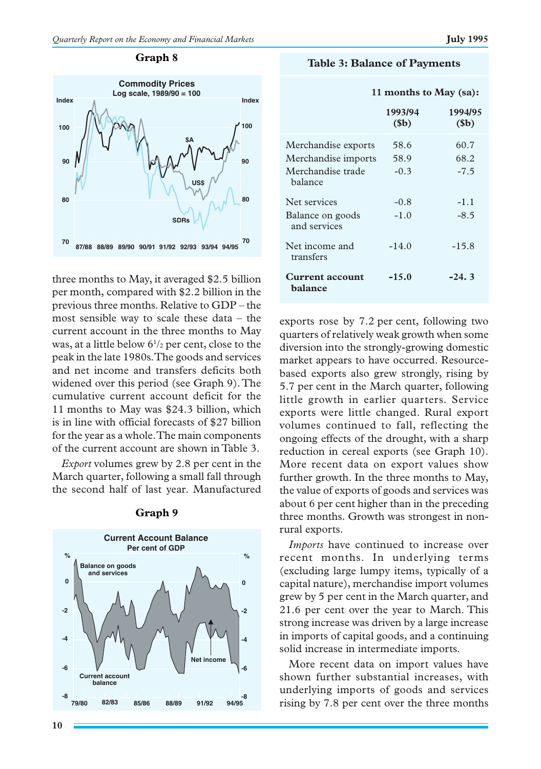### **Graph 8**



three months to May, it averaged \$2.5 billion per month, compared with \$2.2 billion in the previous three months. Relative to GDP – the most sensible way to scale these data – the current account in the three months to May was, at a little below  $6^{1/2}$  per cent, close to the peak in the late 1980s. The goods and services and net income and transfers deficits both widened over this period (see Graph 9). The cumulative current account deficit for the 11 months to May was \$24.3 billion, which is in line with official forecasts of \$27 billion for the year as a whole. The main components of the current account are shown in Table 3.

*Export* volumes grew by 2.8 per cent in the March quarter, following a small fall through the second half of last year. Manufactured



### **Graph 9**

|                                   | 11 months to May (sa):     |                            |  |  |
|-----------------------------------|----------------------------|----------------------------|--|--|
|                                   | 1993/94<br>\$ <sub>b</sub> | 1994/95<br>\$ <sub>b</sub> |  |  |
| Merchandise exports               | 58.6                       | 60.7                       |  |  |
| Merchandise imports               | 58.9                       | 68.2                       |  |  |
| Merchandise trade<br>halance      | $-0.3$                     | $-7.5$                     |  |  |
| Net services                      | $-0.8$                     | $-1.1$                     |  |  |
| Balance on goods<br>and services  | $-1.0$                     | $-8.5$                     |  |  |
| Net income and<br>transfers       | $-14.0$                    | $-15.8$                    |  |  |
| <b>Current account</b><br>balance | $-15.0$                    | $-24.3$                    |  |  |

exports rose by 7.2 per cent, following two quarters of relatively weak growth when some diversion into the strongly-growing domestic market appears to have occurred. Resourcebased exports also grew strongly, rising by 5.7 per cent in the March quarter, following little growth in earlier quarters. Service exports were little changed. Rural export volumes continued to fall, reflecting the ongoing effects of the drought, with a sharp reduction in cereal exports (see Graph 10). More recent data on export values show further growth. In the three months to May, the value of exports of goods and services was about 6 per cent higher than in the preceding three months. Growth was strongest in nonrural exports.

*Imports* have continued to increase over recent months. In underlying terms (excluding large lumpy items, typically of a capital nature), merchandise import volumes grew by 5 per cent in the March quarter, and 21.6 per cent over the year to March. This strong increase was driven by a large increase in imports of capital goods, and a continuing solid increase in intermediate imports.

More recent data on import values have shown further substantial increases, with underlying imports of goods and services rising by 7.8 per cent over the three months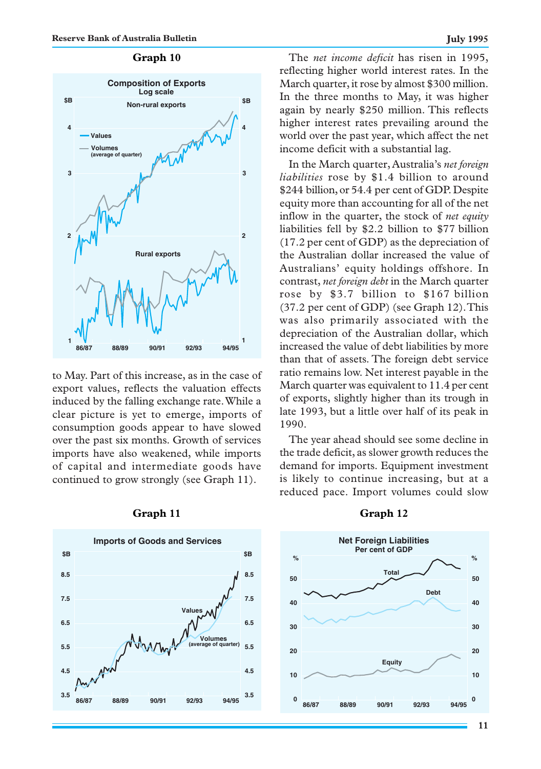# **Graph 10**



to May. Part of this increase, as in the case of export values, reflects the valuation effects induced by the falling exchange rate. While a clear picture is yet to emerge, imports of consumption goods appear to have slowed over the past six months. Growth of services imports have also weakened, while imports of capital and intermediate goods have continued to grow strongly (see Graph 11).

**Imports of Goods and Services 3.5 4.5 5.5 6.5 7.5 8.5 3.5 4.5 5.5 6.5 7.5 8.5 \$B \$B 86/87 88/89 90/91 92/93 94/95 Values Volumes (average of quarter)**

### **Graph 11 Graph 12**

The *net income deficit* has risen in 1995, reflecting higher world interest rates. In the March quarter, it rose by almost \$300 million. In the three months to May, it was higher again by nearly \$250 million. This reflects higher interest rates prevailing around the world over the past year, which affect the net income deficit with a substantial lag.

In the March quarter, Australia's *net foreign liabilities* rose by \$1.4 billion to around \$244 billion, or 54.4 per cent of GDP. Despite equity more than accounting for all of the net inflow in the quarter, the stock of *net equity* liabilities fell by \$2.2 billion to \$77 billion (17.2 per cent of GDP) as the depreciation of the Australian dollar increased the value of Australians' equity holdings offshore. In contrast, *net foreign debt* in the March quarter rose by \$3.7 billion to \$167 billion (37.2 per cent of GDP) (see Graph 12). This was also primarily associated with the depreciation of the Australian dollar, which increased the value of debt liabilities by more than that of assets. The foreign debt service ratio remains low. Net interest payable in the March quarter was equivalent to 11.4 per cent of exports, slightly higher than its trough in late 1993, but a little over half of its peak in 1990.

The year ahead should see some decline in the trade deficit, as slower growth reduces the demand for imports. Equipment investment is likely to continue increasing, but at a reduced pace. Import volumes could slow

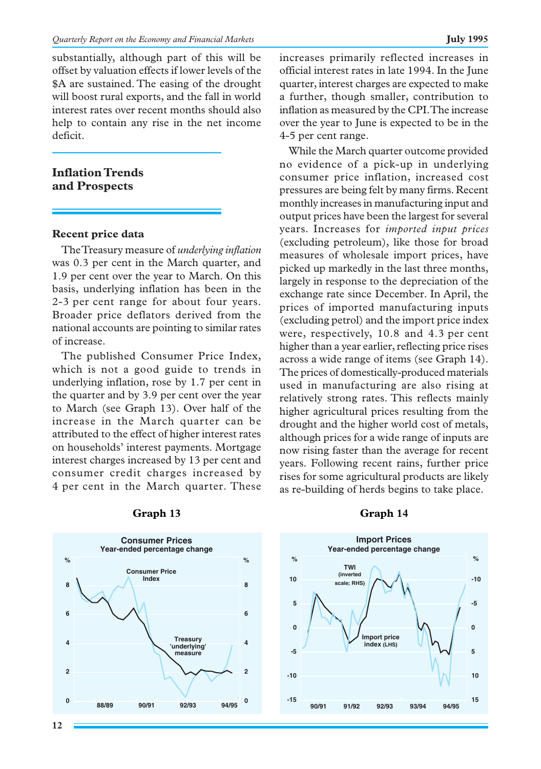substantially, although part of this will be offset by valuation effects if lower levels of the \$A are sustained. The easing of the drought will boost rural exports, and the fall in world interest rates over recent months should also help to contain any rise in the net income deficit.

# **Inflation Trends and Prospects**

### **Recent price data**

The Treasury measure of *underlying inflation* was 0.3 per cent in the March quarter, and 1.9 per cent over the year to March. On this basis, underlying inflation has been in the 2-3 per cent range for about four years. Broader price deflators derived from the national accounts are pointing to similar rates of increase.

The published Consumer Price Index, which is not a good guide to trends in underlying inflation, rose by 1.7 per cent in the quarter and by 3.9 per cent over the year to March (see Graph 13). Over half of the increase in the March quarter can be attributed to the effect of higher interest rates on households' interest payments. Mortgage interest charges increased by 13 per cent and consumer credit charges increased by 4 per cent in the March quarter. These



### **Graph 13**

increases primarily reflected increases in official interest rates in late 1994. In the June quarter, interest charges are expected to make a further, though smaller, contribution to inflation as measured by the CPI. The increase over the year to June is expected to be in the 4-5 per cent range.

While the March quarter outcome provided no evidence of a pick-up in underlying consumer price inflation, increased cost pressures are being felt by many firms. Recent monthly increases in manufacturing input and output prices have been the largest for several years. Increases for *imported input prices* (excluding petroleum), like those for broad measures of wholesale import prices, have picked up markedly in the last three months, largely in response to the depreciation of the exchange rate since December. In April, the prices of imported manufacturing inputs (excluding petrol) and the import price index were, respectively, 10.8 and 4.3 per cent higher than a year earlier, reflecting price rises across a wide range of items (see Graph 14). The prices of domestically-produced materials used in manufacturing are also rising at relatively strong rates. This reflects mainly higher agricultural prices resulting from the drought and the higher world cost of metals, although prices for a wide range of inputs are now rising faster than the average for recent years. Following recent rains, further price rises for some agricultural products are likely as re-building of herds begins to take place.

### **Graph 14**

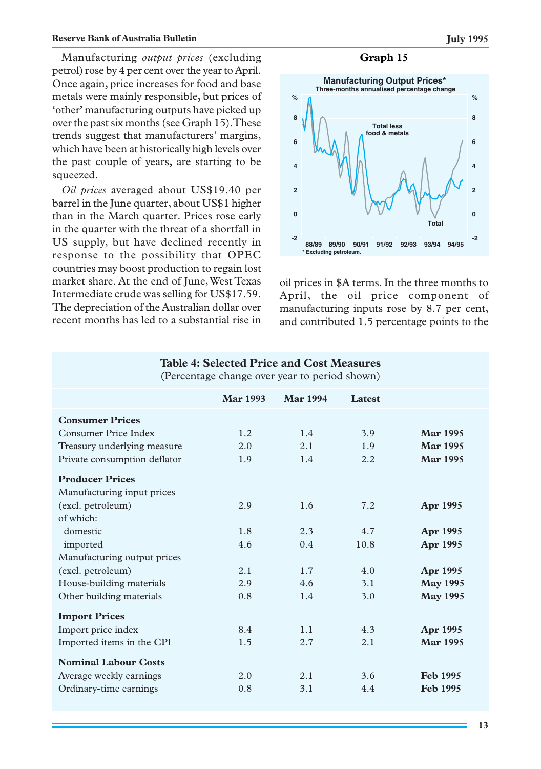Manufacturing *output prices* (excluding **Graph 15** petrol) rose by 4 per cent over the year to April. Once again, price increases for food and base metals were mainly responsible, but prices of 'other' manufacturing outputs have picked up over the past six months (see Graph 15). These trends suggest that manufacturers' margins, which have been at historically high levels over the past couple of years, are starting to be squeezed.

*Oil prices* averaged about US\$19.40 per barrel in the June quarter, about US\$1 higher than in the March quarter. Prices rose early in the quarter with the threat of a shortfall in US supply, but have declined recently in response to the possibility that OPEC countries may boost production to regain lost market share. At the end of June, West Texas Intermediate crude was selling for US\$17.59. The depreciation of the Australian dollar over recent months has led to a substantial rise in



oil prices in \$A terms. In the three months to April, the oil price component of manufacturing inputs rose by 8.7 per cent, and contributed 1.5 percentage points to the

| (Percentage change over year to period shown) |                 |                 |        |                 |  |  |
|-----------------------------------------------|-----------------|-----------------|--------|-----------------|--|--|
|                                               | <b>Mar 1993</b> | <b>Mar 1994</b> | Latest |                 |  |  |
| <b>Consumer Prices</b>                        |                 |                 |        |                 |  |  |
| Consumer Price Index                          | 1.2             | 1.4             | 3.9    | <b>Mar 1995</b> |  |  |
| Treasury underlying measure                   | 2.0             | 2.1             | 1.9    | <b>Mar 1995</b> |  |  |
| Private consumption deflator                  | 1.9             | 1.4             | 2.2    | <b>Mar 1995</b> |  |  |
| <b>Producer Prices</b>                        |                 |                 |        |                 |  |  |
| Manufacturing input prices                    |                 |                 |        |                 |  |  |
| (excl. petroleum)                             | 2.9             | 1.6             | 7.2    | Apr 1995        |  |  |
| of which:                                     |                 |                 |        |                 |  |  |
| domestic                                      | 1.8             | 2.3             | 4.7    | Apr 1995        |  |  |
| imported                                      | 4.6             | 0.4             | 10.8   | Apr 1995        |  |  |
| Manufacturing output prices                   |                 |                 |        |                 |  |  |
| (excl. petroleum)                             | 2.1             | 1.7             | 4.0    | <b>Apr 1995</b> |  |  |
| House-building materials                      | 2.9             | 4.6             | 3.1    | <b>May 1995</b> |  |  |
| Other building materials                      | 0.8             | 1.4             | 3.0    | <b>May 1995</b> |  |  |
| <b>Import Prices</b>                          |                 |                 |        |                 |  |  |
| Import price index                            | 8.4             | 1.1             | 4.3    | Apr 1995        |  |  |
| Imported items in the CPI                     | 1.5             | 2.7             | 2.1    | <b>Mar 1995</b> |  |  |
| <b>Nominal Labour Costs</b>                   |                 |                 |        |                 |  |  |
| Average weekly earnings                       | 2.0             | 2.1             | 3.6    | <b>Feb 1995</b> |  |  |
| Ordinary-time earnings                        | 0.8             | 3.1             | 4.4    | <b>Feb 1995</b> |  |  |

**Table 4: Selected Price and Cost Measures**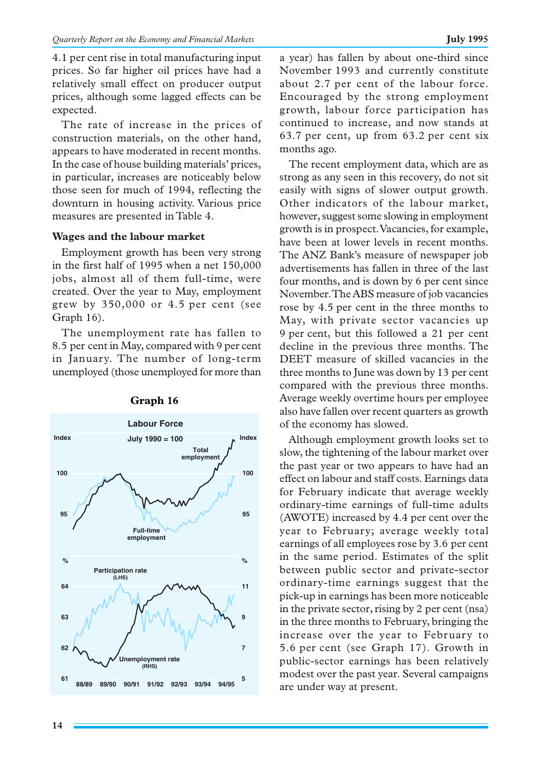4.1 per cent rise in total manufacturing input prices. So far higher oil prices have had a relatively small effect on producer output prices, although some lagged effects can be expected.

The rate of increase in the prices of construction materials, on the other hand, appears to have moderated in recent months. In the case of house building materials' prices, in particular, increases are noticeably below those seen for much of 1994, reflecting the downturn in housing activity. Various price measures are presented in Table 4.

# **Wages and the labour market**

Employment growth has been very strong in the first half of 1995 when a net 150,000 jobs, almost all of them full-time, were created. Over the year to May, employment grew by 350,000 or 4.5 per cent (see Graph 16).

The unemployment rate has fallen to 8.5 per cent in May, compared with 9 per cent in January. The number of long-term unemployed (those unemployed for more than



# **Graph 16**

a year) has fallen by about one-third since November 1993 and currently constitute about 2.7 per cent of the labour force. Encouraged by the strong employment growth, labour force participation has continued to increase, and now stands at 63.7 per cent, up from 63.2 per cent six months ago.

The recent employment data, which are as strong as any seen in this recovery, do not sit easily with signs of slower output growth. Other indicators of the labour market, however, suggest some slowing in employment growth is in prospect. Vacancies, for example, have been at lower levels in recent months. The ANZ Bank's measure of newspaper job advertisements has fallen in three of the last four months, and is down by 6 per cent since November. The ABS measure of job vacancies rose by 4.5 per cent in the three months to May, with private sector vacancies up 9 per cent, but this followed a 21 per cent decline in the previous three months. The DEET measure of skilled vacancies in the three months to June was down by 13 per cent compared with the previous three months. Average weekly overtime hours per employee also have fallen over recent quarters as growth of the economy has slowed.

Although employment growth looks set to slow, the tightening of the labour market over the past year or two appears to have had an effect on labour and staff costs. Earnings data for February indicate that average weekly ordinary-time earnings of full-time adults (AWOTE) increased by 4.4 per cent over the year to February; average weekly total earnings of all employees rose by 3.6 per cent in the same period. Estimates of the split between public sector and private-sector ordinary-time earnings suggest that the pick-up in earnings has been more noticeable in the private sector, rising by 2 per cent (nsa) in the three months to February, bringing the increase over the year to February to 5.6 per cent (see Graph 17). Growth in public-sector earnings has been relatively modest over the past year. Several campaigns are under way at present.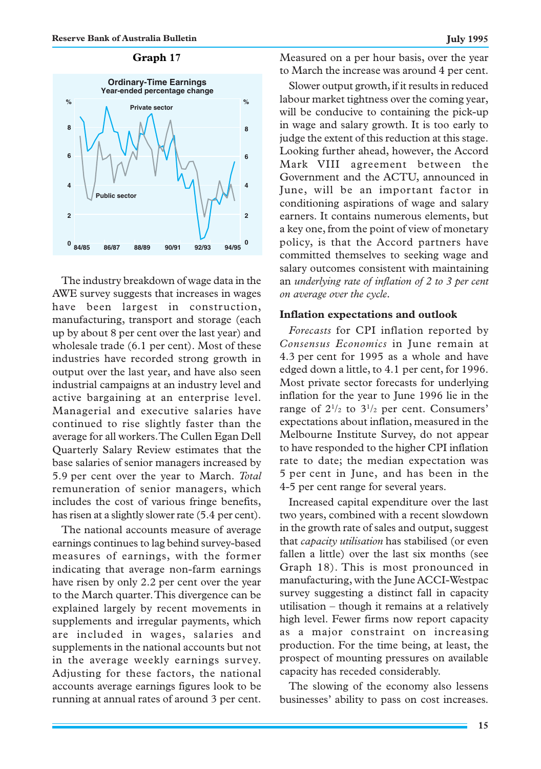

The industry breakdown of wage data in the AWE survey suggests that increases in wages have been largest in construction, manufacturing, transport and storage (each up by about 8 per cent over the last year) and wholesale trade (6.1 per cent). Most of these industries have recorded strong growth in output over the last year, and have also seen industrial campaigns at an industry level and active bargaining at an enterprise level. Managerial and executive salaries have continued to rise slightly faster than the average for all workers. The Cullen Egan Dell Quarterly Salary Review estimates that the base salaries of senior managers increased by 5.9 per cent over the year to March. *Total* remuneration of senior managers, which includes the cost of various fringe benefits, has risen at a slightly slower rate (5.4 per cent).

The national accounts measure of average earnings continues to lag behind survey-based measures of earnings, with the former indicating that average non-farm earnings have risen by only 2.2 per cent over the year to the March quarter. This divergence can be explained largely by recent movements in supplements and irregular payments, which are included in wages, salaries and supplements in the national accounts but not in the average weekly earnings survey. Adjusting for these factors, the national accounts average earnings figures look to be running at annual rates of around 3 per cent.

**Graph 17** Measured on a per hour basis, over the year to March the increase was around 4 per cent.

> Slower output growth, if it results in reduced labour market tightness over the coming year, will be conducive to containing the pick-up in wage and salary growth. It is too early to judge the extent of this reduction at this stage. Looking further ahead, however, the Accord Mark VIII agreement between the Government and the ACTU, announced in June, will be an important factor in conditioning aspirations of wage and salary earners. It contains numerous elements, but a key one, from the point of view of monetary policy, is that the Accord partners have committed themselves to seeking wage and salary outcomes consistent with maintaining an *underlying rate of inflation of 2 to 3 per cent on average over the cycle.*

### **Inflation expectations and outlook**

*Forecasts* for CPI inflation reported by *Consensus Economics* in June remain at 4.3 per cent for 1995 as a whole and have edged down a little, to 4.1 per cent, for 1996. Most private sector forecasts for underlying inflation for the year to June 1996 lie in the range of  $2^{1/2}$  to  $3^{1/2}$  per cent. Consumers' expectations about inflation, measured in the Melbourne Institute Survey, do not appear to have responded to the higher CPI inflation rate to date; the median expectation was 5 per cent in June, and has been in the 4-5 per cent range for several years.

Increased capital expenditure over the last two years, combined with a recent slowdown in the growth rate of sales and output, suggest that *capacity utilisation* has stabilised (or even fallen a little) over the last six months (see Graph 18). This is most pronounced in manufacturing, with the June ACCI-Westpac survey suggesting a distinct fall in capacity utilisation – though it remains at a relatively high level. Fewer firms now report capacity as a major constraint on increasing production. For the time being, at least, the prospect of mounting pressures on available capacity has receded considerably.

The slowing of the economy also lessens businesses' ability to pass on cost increases.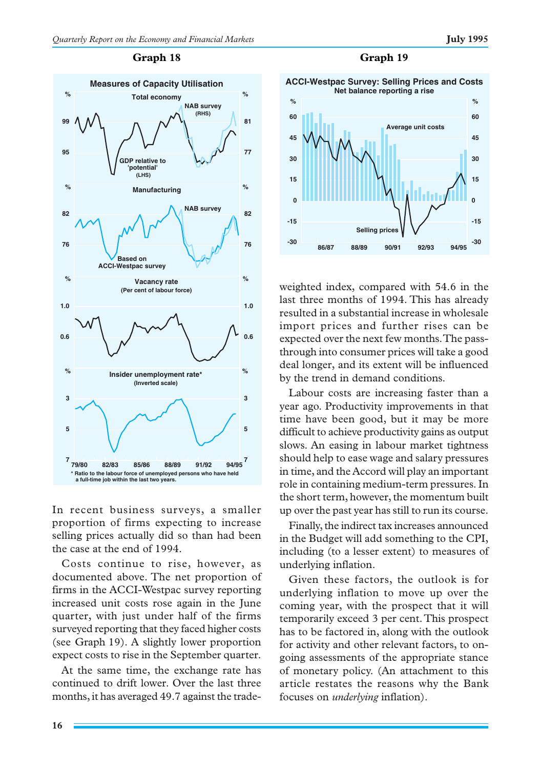# **95 99 77 81 76 82 76 82 0.6 1.0 0.6 1.0 7 5 3 7 5 3 NAB survey (RHS) GDP relative to 'potential' (LHS) Total economy % % Manufacturing % % NAB survey Based on ACCI-Westpac survey Measures of Capacity Utilisation Vacancy rate % % (Per cent of labour force) Insider unemployment rate\* (Inverted scale) % 79/80 82/83 85/86 88/89 91/92 94/95 \* Ratio to the labour force of unemployed persons who have held a full-time job within the last two years. %**

### **Graph 18**

In recent business surveys, a smaller proportion of firms expecting to increase selling prices actually did so than had been the case at the end of 1994.

Costs continue to rise, however, as documented above. The net proportion of firms in the ACCI-Westpac survey reporting increased unit costs rose again in the June quarter, with just under half of the firms surveyed reporting that they faced higher costs (see Graph 19). A slightly lower proportion expect costs to rise in the September quarter.

At the same time, the exchange rate has continued to drift lower. Over the last three months, it has averaged 49.7 against the trade-



weighted index, compared with 54.6 in the last three months of 1994. This has already resulted in a substantial increase in wholesale import prices and further rises can be expected over the next few months. The passthrough into consumer prices will take a good deal longer, and its extent will be influenced by the trend in demand conditions.

Labour costs are increasing faster than a year ago. Productivity improvements in that time have been good, but it may be more difficult to achieve productivity gains as output slows. An easing in labour market tightness should help to ease wage and salary pressures in time, and the Accord will play an important role in containing medium-term pressures. In the short term, however, the momentum built up over the past year has still to run its course.

Finally, the indirect tax increases announced in the Budget will add something to the CPI, including (to a lesser extent) to measures of underlying inflation.

Given these factors, the outlook is for underlying inflation to move up over the coming year, with the prospect that it will temporarily exceed 3 per cent. This prospect has to be factored in, along with the outlook for activity and other relevant factors, to ongoing assessments of the appropriate stance of monetary policy. (An attachment to this article restates the reasons why the Bank focuses on *underlying* inflation).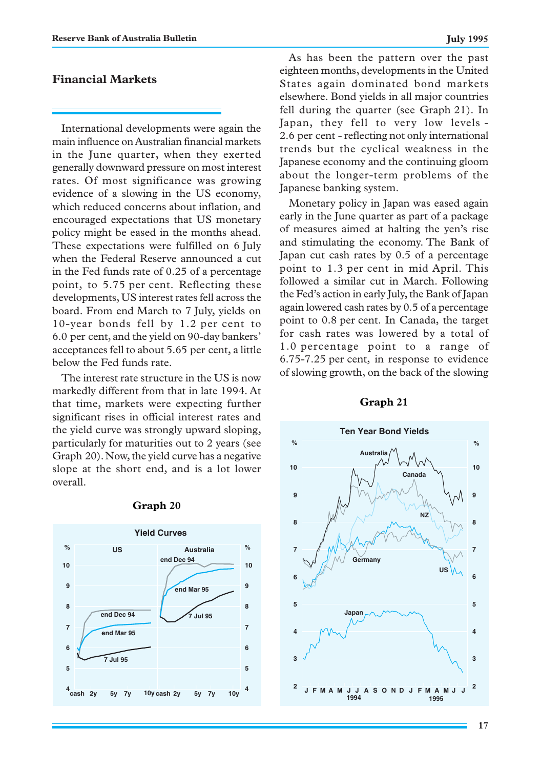# **Financial Markets**

International developments were again the main influence on Australian financial markets in the June quarter, when they exerted generally downward pressure on most interest rates. Of most significance was growing evidence of a slowing in the US economy, which reduced concerns about inflation, and encouraged expectations that US monetary policy might be eased in the months ahead. These expectations were fulfilled on 6 July when the Federal Reserve announced a cut in the Fed funds rate of 0.25 of a percentage point, to 5.75 per cent. Reflecting these developments, US interest rates fell across the board. From end March to 7 July, yields on 10-year bonds fell by 1.2 per cent to 6.0 per cent, and the yield on 90-day bankers' acceptances fell to about 5.65 per cent, a little below the Fed funds rate.

The interest rate structure in the US is now markedly different from that in late 1994. At that time, markets were expecting further significant rises in official interest rates and the yield curve was strongly upward sloping, particularly for maturities out to 2 years (see Graph 20). Now, the yield curve has a negative slope at the short end, and is a lot lower overall.



### **Graph 20**

As has been the pattern over the past eighteen months, developments in the United States again dominated bond markets elsewhere. Bond yields in all major countries fell during the quarter (see Graph 21). In Japan, they fell to very low levels - 2.6 per cent - reflecting not only international trends but the cyclical weakness in the Japanese economy and the continuing gloom about the longer-term problems of the Japanese banking system.

Monetary policy in Japan was eased again early in the June quarter as part of a package of measures aimed at halting the yen's rise and stimulating the economy. The Bank of Japan cut cash rates by 0.5 of a percentage point to 1.3 per cent in mid April. This followed a similar cut in March. Following the Fed's action in early July, the Bank of Japan again lowered cash rates by 0.5 of a percentage point to 0.8 per cent. In Canada, the target for cash rates was lowered by a total of 1.0 percentage point to a range of 6.75-7.25 per cent, in response to evidence of slowing growth, on the back of the slowing



### **Graph 21**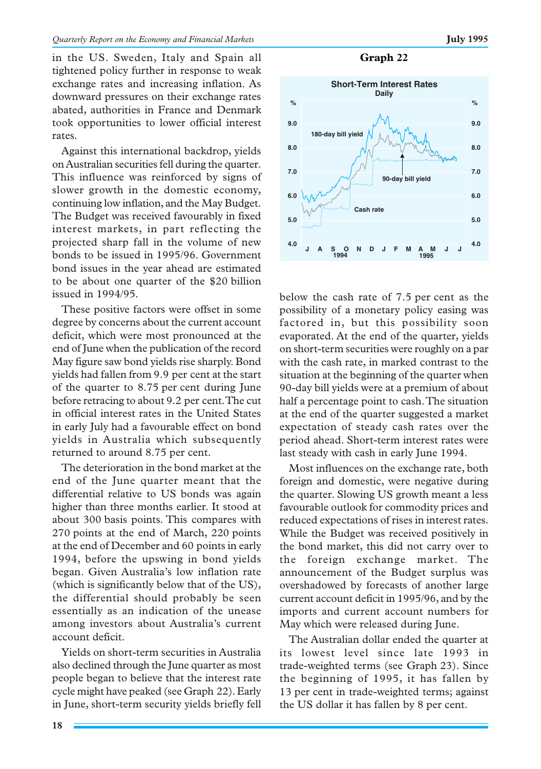in the US. Sweden, Italy and Spain all tightened policy further in response to weak exchange rates and increasing inflation. As downward pressures on their exchange rates abated, authorities in France and Denmark took opportunities to lower official interest rates.

Against this international backdrop, yields on Australian securities fell during the quarter. This influence was reinforced by signs of slower growth in the domestic economy, continuing low inflation, and the May Budget. The Budget was received favourably in fixed interest markets, in part reflecting the projected sharp fall in the volume of new bonds to be issued in 1995/96. Government bond issues in the year ahead are estimated to be about one quarter of the \$20 billion issued in 1994/95.

These positive factors were offset in some degree by concerns about the current account deficit, which were most pronounced at the end of June when the publication of the record May figure saw bond yields rise sharply. Bond yields had fallen from 9.9 per cent at the start of the quarter to 8.75 per cent during June before retracing to about 9.2 per cent. The cut in official interest rates in the United States in early July had a favourable effect on bond yields in Australia which subsequently returned to around 8.75 per cent.

The deterioration in the bond market at the end of the June quarter meant that the differential relative to US bonds was again higher than three months earlier. It stood at about 300 basis points. This compares with 270 points at the end of March, 220 points at the end of December and 60 points in early 1994, before the upswing in bond yields began. Given Australia's low inflation rate (which is significantly below that of the US), the differential should probably be seen essentially as an indication of the unease among investors about Australia's current account deficit.

Yields on short-term securities in Australia also declined through the June quarter as most people began to believe that the interest rate cycle might have peaked (see Graph 22). Early in June, short-term security yields briefly fell

### **Graph 22**



below the cash rate of 7.5 per cent as the possibility of a monetary policy easing was factored in, but this possibility soon evaporated. At the end of the quarter, yields on short-term securities were roughly on a par with the cash rate, in marked contrast to the situation at the beginning of the quarter when 90-day bill yields were at a premium of about half a percentage point to cash. The situation at the end of the quarter suggested a market expectation of steady cash rates over the period ahead. Short-term interest rates were last steady with cash in early June 1994.

Most influences on the exchange rate, both foreign and domestic, were negative during the quarter. Slowing US growth meant a less favourable outlook for commodity prices and reduced expectations of rises in interest rates. While the Budget was received positively in the bond market, this did not carry over to the foreign exchange market. The announcement of the Budget surplus was overshadowed by forecasts of another large current account deficit in 1995/96, and by the imports and current account numbers for May which were released during June.

The Australian dollar ended the quarter at its lowest level since late 1993 in trade-weighted terms (see Graph 23). Since the beginning of 1995, it has fallen by 13 per cent in trade-weighted terms; against the US dollar it has fallen by 8 per cent.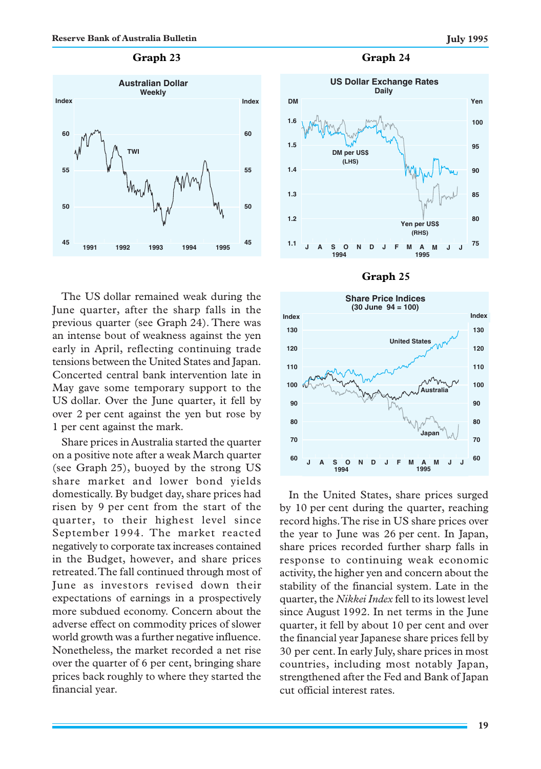### **Graph 23**



The US dollar remained weak during the June quarter, after the sharp falls in the previous quarter (see Graph 24). There was an intense bout of weakness against the yen early in April, reflecting continuing trade tensions between the United States and Japan. Concerted central bank intervention late in May gave some temporary support to the US dollar. Over the June quarter, it fell by over 2 per cent against the yen but rose by 1 per cent against the mark.

Share prices in Australia started the quarter on a positive note after a weak March quarter (see Graph 25), buoyed by the strong US share market and lower bond yields domestically. By budget day, share prices had risen by 9 per cent from the start of the quarter, to their highest level since September 1994. The market reacted negatively to corporate tax increases contained in the Budget, however, and share prices retreated. The fall continued through most of June as investors revised down their expectations of earnings in a prospectively more subdued economy. Concern about the adverse effect on commodity prices of slower world growth was a further negative influence. Nonetheless, the market recorded a net rise over the quarter of 6 per cent, bringing share prices back roughly to where they started the financial year.

### **Graph 24**







In the United States, share prices surged by 10 per cent during the quarter, reaching record highs. The rise in US share prices over the year to June was 26 per cent. In Japan, share prices recorded further sharp falls in response to continuing weak economic activity, the higher yen and concern about the stability of the financial system. Late in the quarter, the *Nikkei Index* fell to its lowest level since August 1992. In net terms in the June quarter, it fell by about 10 per cent and over the financial year Japanese share prices fell by 30 per cent. In early July, share prices in most countries, including most notably Japan, strengthened after the Fed and Bank of Japan cut official interest rates.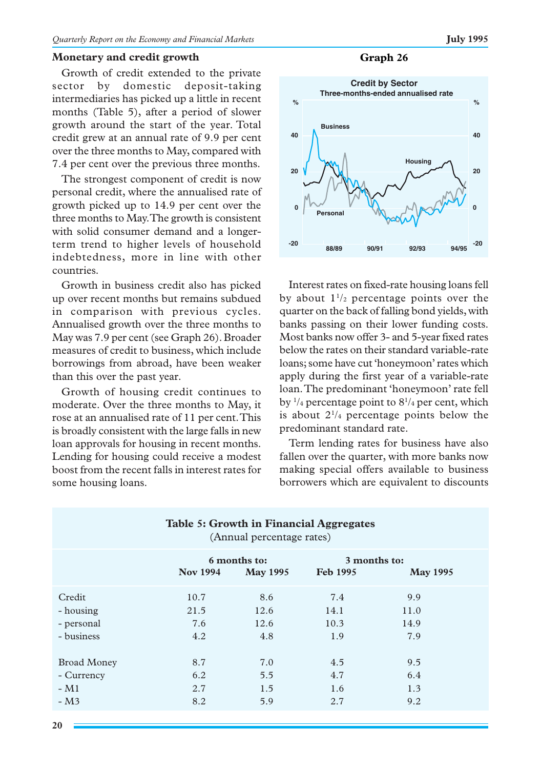### **Monetary and credit growth**

Growth of credit extended to the private sector by domestic deposit-taking intermediaries has picked up a little in recent months (Table 5), after a period of slower growth around the start of the year. Total credit grew at an annual rate of 9.9 per cent over the three months to May, compared with 7.4 per cent over the previous three months.

The strongest component of credit is now personal credit, where the annualised rate of growth picked up to 14.9 per cent over the three months to May. The growth is consistent with solid consumer demand and a longerterm trend to higher levels of household indebtedness, more in line with other countries.

Growth in business credit also has picked up over recent months but remains subdued in comparison with previous cycles. Annualised growth over the three months to May was 7.9 per cent (see Graph 26). Broader measures of credit to business, which include borrowings from abroad, have been weaker than this over the past year.

Growth of housing credit continues to moderate. Over the three months to May, it rose at an annualised rate of 11 per cent. This is broadly consistent with the large falls in new loan approvals for housing in recent months. Lending for housing could receive a modest boost from the recent falls in interest rates for some housing loans.





Interest rates on fixed-rate housing loans fell by about  $1^{1/2}$  percentage points over the quarter on the back of falling bond yields, with banks passing on their lower funding costs. Most banks now offer 3- and 5-year fixed rates below the rates on their standard variable-rate loans; some have cut 'honeymoon' rates which apply during the first year of a variable-rate loan. The predominant 'honeymoon' rate fell by  $\frac{1}{4}$  percentage point to  $8\frac{1}{4}$  per cent, which is about  $2^{1/4}$  percentage points below the predominant standard rate.

Term lending rates for business have also fallen over the quarter, with more banks now making special offers available to business borrowers which are equivalent to discounts

|                    |                 | (Annual percentage rates)       | <b>Table 5: Growth in Financial Aggregates</b> |                 |  |
|--------------------|-----------------|---------------------------------|------------------------------------------------|-----------------|--|
|                    | <b>Nov 1994</b> | 6 months to:<br><b>May 1995</b> | 3 months to:<br><b>Feb 1995</b>                | <b>May 1995</b> |  |
| Credit             | 10.7            | 8.6                             | 7.4                                            | 9.9             |  |
| - housing          | 21.5            | 12.6                            | 14.1                                           | 11.0            |  |
| - personal         | 7.6             | 12.6                            | 10.3                                           | 14.9            |  |
| - business         | 4.2             | 4.8                             | 1.9                                            | 7.9             |  |
| <b>Broad Money</b> | 8.7             | 7.0                             | 4.5                                            | 9.5             |  |
| - Currency         | 6.2             | 5.5                             | 4.7                                            | 6.4             |  |
| $-M1$              | 2.7             | 1.5                             | 1.6                                            | 1.3             |  |
| $-M3$              | 8.2             | 5.9                             | 2.7                                            | 9.2             |  |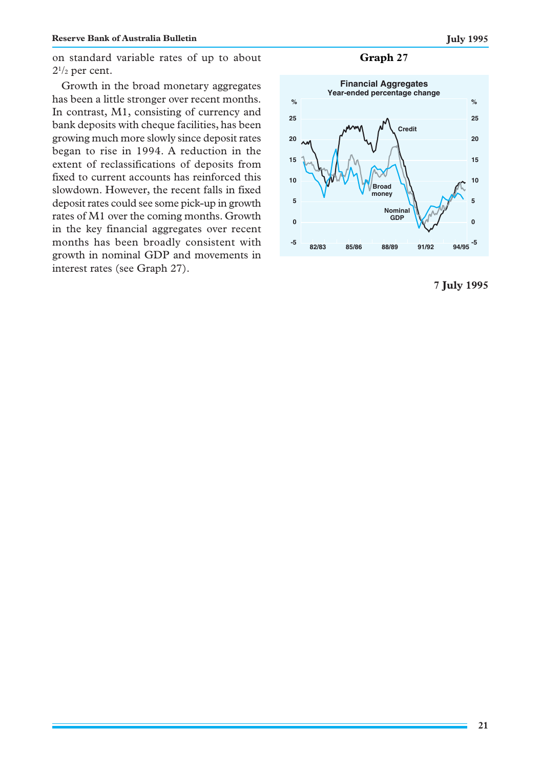on standard variable rates of up to about  $2^{1/2}$  per cent.

Growth in the broad monetary aggregates has been a little stronger over recent months. In contrast, M1, consisting of currency and bank deposits with cheque facilities, has been growing much more slowly since deposit rates began to rise in 1994. A reduction in the extent of reclassifications of deposits from fixed to current accounts has reinforced this slowdown. However, the recent falls in fixed deposit rates could see some pick-up in growth rates of M1 over the coming months. Growth in the key financial aggregates over recent months has been broadly consistent with growth in nominal GDP and movements in interest rates (see Graph 27).

**Graph 27**



**7 July 1995**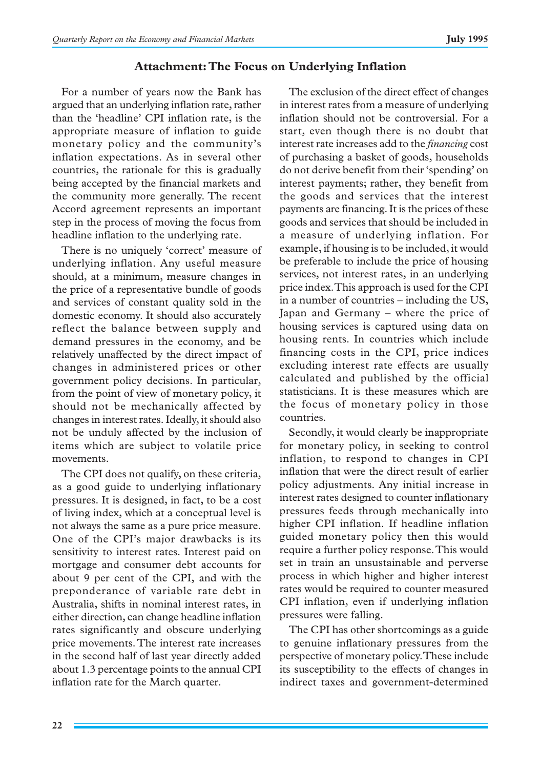# **Attachment: The Focus on Underlying Inflation**

For a number of years now the Bank has argued that an underlying inflation rate, rather than the 'headline' CPI inflation rate, is the appropriate measure of inflation to guide monetary policy and the community's inflation expectations. As in several other countries, the rationale for this is gradually being accepted by the financial markets and the community more generally. The recent Accord agreement represents an important step in the process of moving the focus from headline inflation to the underlying rate.

There is no uniquely 'correct' measure of underlying inflation. Any useful measure should, at a minimum, measure changes in the price of a representative bundle of goods and services of constant quality sold in the domestic economy. It should also accurately reflect the balance between supply and demand pressures in the economy, and be relatively unaffected by the direct impact of changes in administered prices or other government policy decisions. In particular, from the point of view of monetary policy, it should not be mechanically affected by changes in interest rates. Ideally, it should also not be unduly affected by the inclusion of items which are subject to volatile price movements.

The CPI does not qualify, on these criteria, as a good guide to underlying inflationary pressures. It is designed, in fact, to be a cost of living index, which at a conceptual level is not always the same as a pure price measure. One of the CPI's major drawbacks is its sensitivity to interest rates. Interest paid on mortgage and consumer debt accounts for about 9 per cent of the CPI, and with the preponderance of variable rate debt in Australia, shifts in nominal interest rates, in either direction, can change headline inflation rates significantly and obscure underlying price movements. The interest rate increases in the second half of last year directly added about 1.3 percentage points to the annual CPI inflation rate for the March quarter.

The exclusion of the direct effect of changes in interest rates from a measure of underlying inflation should not be controversial. For a start, even though there is no doubt that interest rate increases add to the *financing* cost of purchasing a basket of goods, households do not derive benefit from their 'spending' on interest payments; rather, they benefit from the goods and services that the interest payments are financing. It is the prices of these goods and services that should be included in a measure of underlying inflation. For example, if housing is to be included, it would be preferable to include the price of housing services, not interest rates, in an underlying price index. This approach is used for the CPI in a number of countries – including the US, Japan and Germany – where the price of housing services is captured using data on housing rents. In countries which include financing costs in the CPI, price indices excluding interest rate effects are usually calculated and published by the official statisticians. It is these measures which are the focus of monetary policy in those countries.

Secondly, it would clearly be inappropriate for monetary policy, in seeking to control inflation, to respond to changes in CPI inflation that were the direct result of earlier policy adjustments. Any initial increase in interest rates designed to counter inflationary pressures feeds through mechanically into higher CPI inflation. If headline inflation guided monetary policy then this would require a further policy response. This would set in train an unsustainable and perverse process in which higher and higher interest rates would be required to counter measured CPI inflation, even if underlying inflation pressures were falling.

The CPI has other shortcomings as a guide to genuine inflationary pressures from the perspective of monetary policy. These include its susceptibility to the effects of changes in indirect taxes and government-determined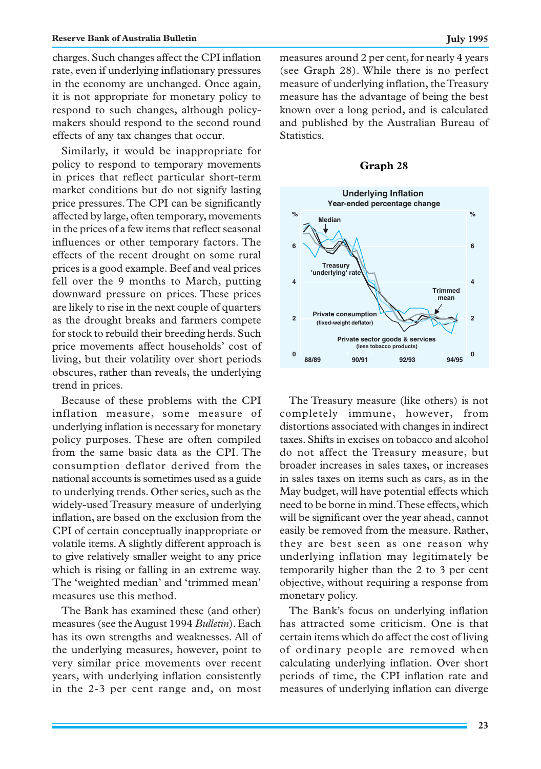### **Reserve Bank of Australia Bulletin July 1995 July 1995**

charges. Such changes affect the CPI inflation rate, even if underlying inflationary pressures in the economy are unchanged. Once again, it is not appropriate for monetary policy to respond to such changes, although policymakers should respond to the second round effects of any tax changes that occur.

Similarly, it would be inappropriate for policy to respond to temporary movements in prices that reflect particular short-term market conditions but do not signify lasting price pressures. The CPI can be significantly affected by large, often temporary, movements in the prices of a few items that reflect seasonal influences or other temporary factors. The effects of the recent drought on some rural prices is a good example. Beef and veal prices fell over the 9 months to March, putting downward pressure on prices. These prices are likely to rise in the next couple of quarters as the drought breaks and farmers compete for stock to rebuild their breeding herds. Such price movements affect households' cost of living, but their volatility over short periods obscures, rather than reveals, the underlying trend in prices.

Because of these problems with the CPI inflation measure, some measure of underlying inflation is necessary for monetary policy purposes. These are often compiled from the same basic data as the CPI. The consumption deflator derived from the national accounts is sometimes used as a guide to underlying trends. Other series, such as the widely-used Treasury measure of underlying inflation, are based on the exclusion from the CPI of certain conceptually inappropriate or volatile items. A slightly different approach is to give relatively smaller weight to any price which is rising or falling in an extreme way. The 'weighted median' and 'trimmed mean' measures use this method.

The Bank has examined these (and other) measures (see the August 1994 *Bulletin*). Each has its own strengths and weaknesses. All of the underlying measures, however, point to very similar price movements over recent years, with underlying inflation consistently in the 2-3 per cent range and, on most measures around 2 per cent, for nearly 4 years (see Graph 28). While there is no perfect measure of underlying inflation, the Treasury measure has the advantage of being the best known over a long period, and is calculated and published by the Australian Bureau of Statistics.

### **Graph 28**



The Treasury measure (like others) is not completely immune, however, from distortions associated with changes in indirect taxes. Shifts in excises on tobacco and alcohol do not affect the Treasury measure, but broader increases in sales taxes, or increases in sales taxes on items such as cars, as in the May budget, will have potential effects which need to be borne in mind. These effects, which will be significant over the year ahead, cannot easily be removed from the measure. Rather, they are best seen as one reason why underlying inflation may legitimately be temporarily higher than the 2 to 3 per cent objective, without requiring a response from monetary policy.

The Bank's focus on underlying inflation has attracted some criticism. One is that certain items which do affect the cost of living of ordinary people are removed when calculating underlying inflation. Over short periods of time, the CPI inflation rate and measures of underlying inflation can diverge